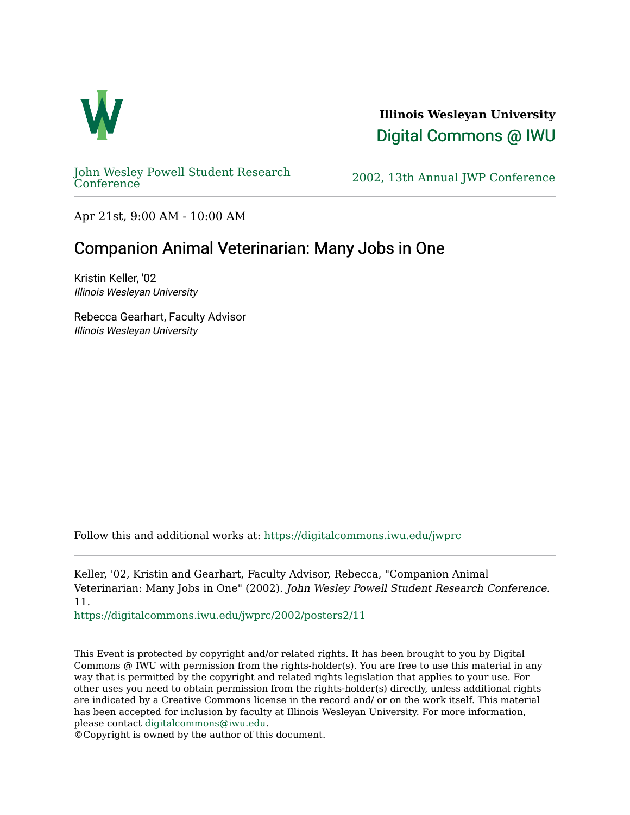

**Illinois Wesleyan University**  [Digital Commons @ IWU](https://digitalcommons.iwu.edu/) 

[John Wesley Powell Student Research](https://digitalcommons.iwu.edu/jwprc) 

2002, 13th Annual JWP [Conference](https://digitalcommons.iwu.edu/jwprc)

Apr 21st, 9:00 AM - 10:00 AM

## Companion Animal Veterinarian: Many Jobs in One

Kristin Keller, '02 Illinois Wesleyan University

Rebecca Gearhart, Faculty Advisor Illinois Wesleyan University

Follow this and additional works at: [https://digitalcommons.iwu.edu/jwprc](https://digitalcommons.iwu.edu/jwprc?utm_source=digitalcommons.iwu.edu%2Fjwprc%2F2002%2Fposters2%2F11&utm_medium=PDF&utm_campaign=PDFCoverPages) 

Keller, '02, Kristin and Gearhart, Faculty Advisor, Rebecca, "Companion Animal Veterinarian: Many Jobs in One" (2002). John Wesley Powell Student Research Conference. 11.

[https://digitalcommons.iwu.edu/jwprc/2002/posters2/11](https://digitalcommons.iwu.edu/jwprc/2002/posters2/11?utm_source=digitalcommons.iwu.edu%2Fjwprc%2F2002%2Fposters2%2F11&utm_medium=PDF&utm_campaign=PDFCoverPages) 

This Event is protected by copyright and/or related rights. It has been brought to you by Digital Commons @ IWU with permission from the rights-holder(s). You are free to use this material in any way that is permitted by the copyright and related rights legislation that applies to your use. For other uses you need to obtain permission from the rights-holder(s) directly, unless additional rights are indicated by a Creative Commons license in the record and/ or on the work itself. This material has been accepted for inclusion by faculty at Illinois Wesleyan University. For more information, please contact [digitalcommons@iwu.edu.](mailto:digitalcommons@iwu.edu)

©Copyright is owned by the author of this document.